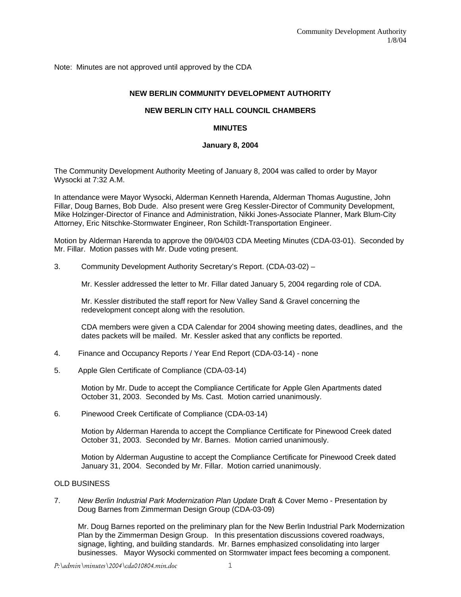Note: Minutes are not approved until approved by the CDA

# **NEW BERLIN COMMUNITY DEVELOPMENT AUTHORITY**

# **NEW BERLIN CITY HALL COUNCIL CHAMBERS**

# **MINUTES**

### **January 8, 2004**

The Community Development Authority Meeting of January 8, 2004 was called to order by Mayor Wysocki at 7:32 A.M.

In attendance were Mayor Wysocki, Alderman Kenneth Harenda, Alderman Thomas Augustine, John Fillar, Doug Barnes, Bob Dude. Also present were Greg Kessler-Director of Community Development, Mike Holzinger-Director of Finance and Administration, Nikki Jones-Associate Planner, Mark Blum-City Attorney, Eric Nitschke-Stormwater Engineer, Ron Schildt-Transportation Engineer.

Motion by Alderman Harenda to approve the 09/04/03 CDA Meeting Minutes (CDA-03-01). Seconded by Mr. Fillar. Motion passes with Mr. Dude voting present.

3. Community Development Authority Secretary's Report. (CDA-03-02) –

Mr. Kessler addressed the letter to Mr. Fillar dated January 5, 2004 regarding role of CDA.

Mr. Kessler distributed the staff report for New Valley Sand & Gravel concerning the redevelopment concept along with the resolution.

CDA members were given a CDA Calendar for 2004 showing meeting dates, deadlines, and the dates packets will be mailed. Mr. Kessler asked that any conflicts be reported.

- 4. Finance and Occupancy Reports / Year End Report (CDA-03-14) none
- 5. Apple Glen Certificate of Compliance (CDA-03-14)

Motion by Mr. Dude to accept the Compliance Certificate for Apple Glen Apartments dated October 31, 2003. Seconded by Ms. Cast. Motion carried unanimously.

6. Pinewood Creek Certificate of Compliance (CDA-03-14)

Motion by Alderman Harenda to accept the Compliance Certificate for Pinewood Creek dated October 31, 2003. Seconded by Mr. Barnes. Motion carried unanimously.

Motion by Alderman Augustine to accept the Compliance Certificate for Pinewood Creek dated January 31, 2004. Seconded by Mr. Fillar. Motion carried unanimously.

### OLD BUSINESS

7. *New Berlin Industrial Park Modernization Plan Update* Draft & Cover Memo - Presentation by Doug Barnes from Zimmerman Design Group (CDA-03-09)

Mr. Doug Barnes reported on the preliminary plan for the New Berlin Industrial Park Modernization Plan by the Zimmerman Design Group. In this presentation discussions covered roadways, signage, lighting, and building standards. Mr. Barnes emphasized consolidating into larger businesses. Mayor Wysocki commented on Stormwater impact fees becoming a component.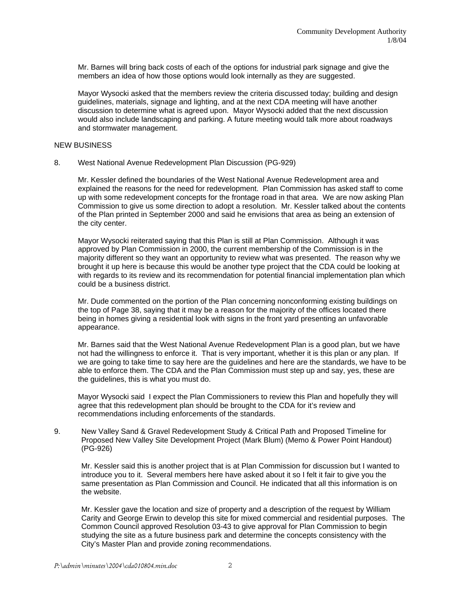Mr. Barnes will bring back costs of each of the options for industrial park signage and give the members an idea of how those options would look internally as they are suggested.

Mayor Wysocki asked that the members review the criteria discussed today; building and design guidelines, materials, signage and lighting, and at the next CDA meeting will have another discussion to determine what is agreed upon. Mayor Wysocki added that the next discussion would also include landscaping and parking. A future meeting would talk more about roadways and stormwater management.

### NEW BUSINESS

8. West National Avenue Redevelopment Plan Discussion (PG-929)

Mr. Kessler defined the boundaries of the West National Avenue Redevelopment area and explained the reasons for the need for redevelopment. Plan Commission has asked staff to come up with some redevelopment concepts for the frontage road in that area. We are now asking Plan Commission to give us some direction to adopt a resolution. Mr. Kessler talked about the contents of the Plan printed in September 2000 and said he envisions that area as being an extension of the city center.

Mayor Wysocki reiterated saying that this Plan is still at Plan Commission. Although it was approved by Plan Commission in 2000, the current membership of the Commission is in the majority different so they want an opportunity to review what was presented. The reason why we brought it up here is because this would be another type project that the CDA could be looking at with regards to its review and its recommendation for potential financial implementation plan which could be a business district.

Mr. Dude commented on the portion of the Plan concerning nonconforming existing buildings on the top of Page 38, saying that it may be a reason for the majority of the offices located there being in homes giving a residential look with signs in the front yard presenting an unfavorable appearance.

Mr. Barnes said that the West National Avenue Redevelopment Plan is a good plan, but we have not had the willingness to enforce it. That is very important, whether it is this plan or any plan. If we are going to take time to say here are the guidelines and here are the standards, we have to be able to enforce them. The CDA and the Plan Commission must step up and say, yes, these are the guidelines, this is what you must do.

Mayor Wysocki said I expect the Plan Commissioners to review this Plan and hopefully they will agree that this redevelopment plan should be brought to the CDA for it's review and recommendations including enforcements of the standards.

9. New Valley Sand & Gravel Redevelopment Study & Critical Path and Proposed Timeline for Proposed New Valley Site Development Project (Mark Blum) (Memo & Power Point Handout) (PG-926)

Mr. Kessler said this is another project that is at Plan Commission for discussion but I wanted to introduce you to it. Several members here have asked about it so I felt it fair to give you the same presentation as Plan Commission and Council. He indicated that all this information is on the website.

Mr. Kessler gave the location and size of property and a description of the request by William Carity and George Erwin to develop this site for mixed commercial and residential purposes. The Common Council approved Resolution 03-43 to give approval for Plan Commission to begin studying the site as a future business park and determine the concepts consistency with the City's Master Plan and provide zoning recommendations.